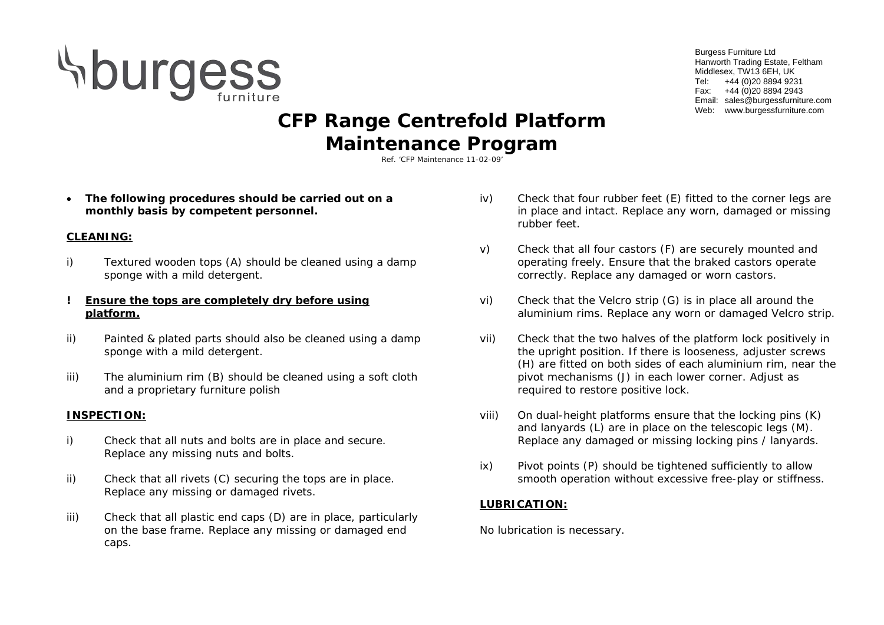

Burgess Furniture Ltd Hanworth Trading Estate, Feltham Middlesex, TW13 6EH, UK Tel: +44 (0)20 8894 9231 Fax: +44 (0)20 8894 2943 Email: sales@burgessfurniture.com Web: www.burgessfurniture.com

# **CFP Range Centrefold Platform Maintenance Program**

Ref. 'CFP Maintenance 11-02-09'

• **The following procedures should be carried out on a monthly basis by competent personnel.**

# **CLEANING:**

i) Textured wooden tops (A) should be cleaned using a damp sponge with a mild detergent.

#### **! Ensure the tops are completely dry before using platform.**

- ii) Painted & plated parts should also be cleaned using a damp sponge with a mild detergent.
- iii) The aluminium rim (B) should be cleaned using a soft cloth and a proprietary furniture polish

## **INSPECTION:**

- i) Check that all nuts and bolts are in place and secure. Replace any missing nuts and bolts.
- ii) Check that all rivets (C) securing the tops are in place. Replace any missing or damaged rivets.
- iii) Check that all plastic end caps (D) are in place, particularly on the base frame. Replace any missing or damaged end caps.
- iv) Check that four rubber feet (E) fitted to the corner legs are in place and intact. Replace any worn, damaged or missing rubber feet.
- v) Check that all four castors (F) are securely mounted and operating freely. Ensure that the braked castors operate correctly. Replace any damaged or worn castors.
- vi) Check that the Velcro strip (G) is in place all around the aluminium rims. Replace any worn or damaged Velcro strip.
- vii) Check that the two halves of the platform lock positively in the upright position. If there is looseness, adjuster screws (H) are fitted on both sides of each aluminium rim, near the pivot mechanisms (J) in each lower corner. Adjust as required to restore positive lock.
- viii) On dual-height platforms ensure that the locking pins (K) and lanyards (L) are in place on the telescopic legs (M). Replace any damaged or missing locking pins / lanyards.
- ix) Pivot points (P) should be tightened sufficiently to allow smooth operation without excessive free-play or stiffness.

## **LUBRICATION:**

No lubrication is necessary.